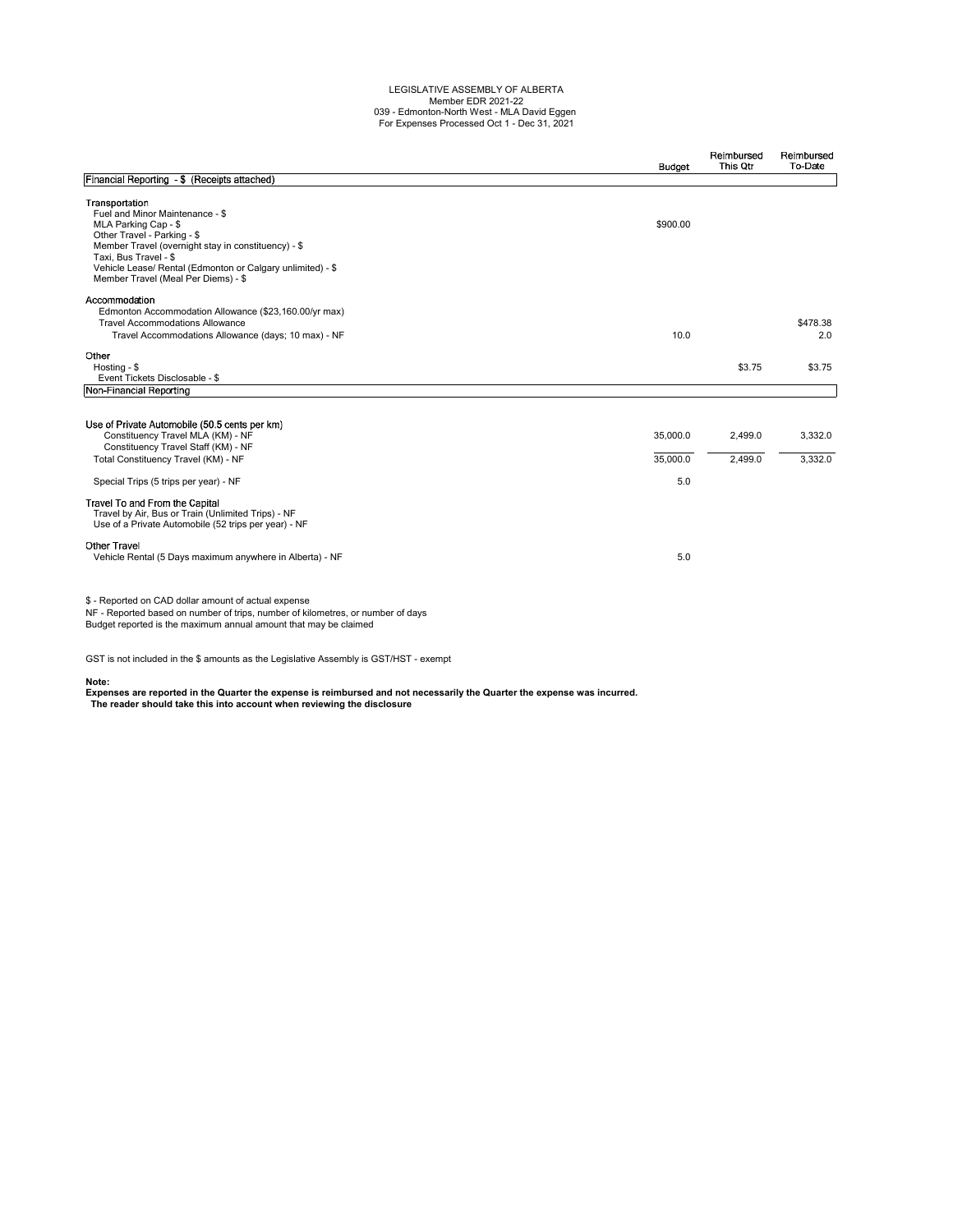## LEGISLATIVE ASSEMBLY OF ALBERTA Member EDR 2021-22 039 - Edmonton-North West - MLA David Eggen For Expenses Processed Oct 1 - Dec 31, 2021

|                                                                                                                                                                                                                                                                                               | Budget                      | Reimbursed<br>This Qtr | Reimbursed<br>To-Date |
|-----------------------------------------------------------------------------------------------------------------------------------------------------------------------------------------------------------------------------------------------------------------------------------------------|-----------------------------|------------------------|-----------------------|
| Financial Reporting - \$ (Receipts attached)                                                                                                                                                                                                                                                  |                             |                        |                       |
| Transportation<br>Fuel and Minor Maintenance - \$<br>MLA Parking Cap - \$<br>Other Travel - Parking - \$<br>Member Travel (overnight stay in constituency) - \$<br>Taxi, Bus Travel - \$<br>Vehicle Lease/ Rental (Edmonton or Calgary unlimited) - \$<br>Member Travel (Meal Per Diems) - \$ | \$900.00                    |                        |                       |
| Accommodation<br>Edmonton Accommodation Allowance (\$23,160.00/yr max)<br><b>Travel Accommodations Allowance</b><br>Travel Accommodations Allowance (days; 10 max) - NF                                                                                                                       | 10.0                        |                        | \$478.38<br>2.0       |
| Other<br>Hosting - \$<br>Event Tickets Disclosable - \$                                                                                                                                                                                                                                       |                             | \$3.75                 | \$3.75                |
| Non-Financial Reporting                                                                                                                                                                                                                                                                       |                             |                        |                       |
| Use of Private Automobile (50.5 cents per km)<br>Constituency Travel MLA (KM) - NF<br>Constituency Travel Staff (KM) - NF<br>Total Constituency Travel (KM) - NF<br>Special Trips (5 trips per year) - NF                                                                                     | 35,000.0<br>35,000.0<br>5.0 | 2.499.0<br>2,499.0     | 3.332.0<br>3,332.0    |
| Travel To and From the Capital<br>Travel by Air, Bus or Train (Unlimited Trips) - NF<br>Use of a Private Automobile (52 trips per year) - NF                                                                                                                                                  |                             |                        |                       |
| <b>Other Travel</b><br>Vehicle Rental (5 Days maximum anywhere in Alberta) - NF                                                                                                                                                                                                               | 5.0                         |                        |                       |
| \$ - Reported on CAD dollar amount of actual expense<br>NF - Reported based on number of trips, number of kilometres, or number of days<br>Budget reported is the maximum annual amount that may be claimed                                                                                   |                             |                        |                       |

GST is not included in the \$ amounts as the Legislative Assembly is GST/HST - exempt

**Note: Expenses are reported in the Quarter the expense is reimbursed and not necessarily the Quarter the expense was incurred. The reader should take this into account when reviewing the disclosure**